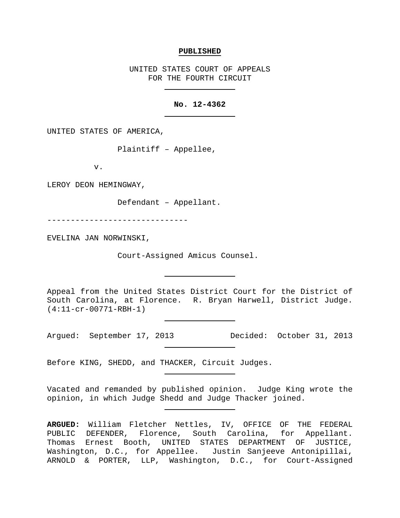#### **PUBLISHED**

UNITED STATES COURT OF APPEALS FOR THE FOURTH CIRCUIT

## **No. 12-4362**

UNITED STATES OF AMERICA,

Plaintiff – Appellee,

v.

LEROY DEON HEMINGWAY,

Defendant – Appellant.

------------------------------

EVELINA JAN NORWINSKI,

Court-Assigned Amicus Counsel.

Appeal from the United States District Court for the District of South Carolina, at Florence. R. Bryan Harwell, District Judge. (4:11-cr-00771-RBH-1)

Argued: September 17, 2013 Decided: October 31, 2013

Before KING, SHEDD, and THACKER, Circuit Judges.

Vacated and remanded by published opinion. Judge King wrote the opinion, in which Judge Shedd and Judge Thacker joined.

**ARGUED:** William Fletcher Nettles, IV, OFFICE OF THE FEDERAL PUBLIC DEFENDER, Florence, South Carolina, for Appellant. Thomas Ernest Booth, UNITED STATES DEPARTMENT OF JUSTICE, Washington, D.C., for Appellee. Justin Sanjeeve Antonipillai, ARNOLD & PORTER, LLP, Washington, D.C., for Court-Assigned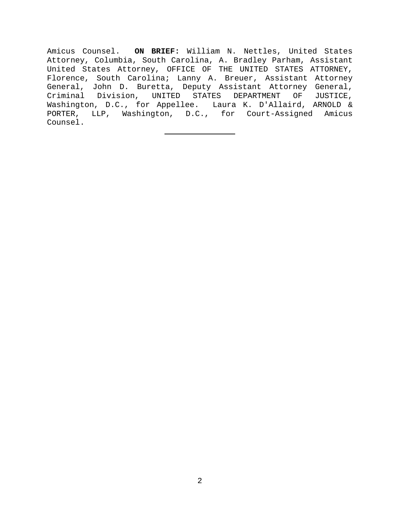Amicus Counsel. **ON BRIEF:** William N. Nettles, United States Attorney, Columbia, South Carolina, A. Bradley Parham, Assistant United States Attorney, OFFICE OF THE UNITED STATES ATTORNEY, Florence, South Carolina; Lanny A. Breuer, Assistant Attorney General, John D. Buretta, Deputy Assistant Attorney General,<br>Criminal Division, UNITED STATES DEPARTMENT OF JUSTICE, Criminal Division, UNITED STATES DEPARTMENT Washington, D.C., for Appellee. Laura K. D'Allaird, ARNOLD & PORTER, LLP, Washington, D.C., for Court-Assigned Amicus Counsel.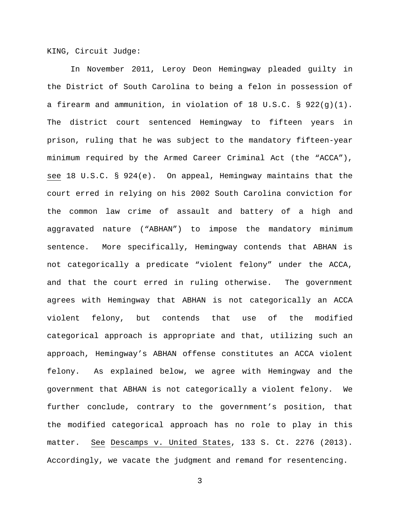KING, Circuit Judge:

In November 2011, Leroy Deon Hemingway pleaded guilty in the District of South Carolina to being a felon in possession of a firearm and ammunition, in violation of 18 U.S.C. § 922(g)(1). The district court sentenced Hemingway to fifteen years in prison, ruling that he was subject to the mandatory fifteen-year minimum required by the Armed Career Criminal Act (the "ACCA"), see 18 U.S.C. § 924(e). On appeal, Hemingway maintains that the court erred in relying on his 2002 South Carolina conviction for the common law crime of assault and battery of a high and aggravated nature ("ABHAN") to impose the mandatory minimum sentence. More specifically, Hemingway contends that ABHAN is not categorically a predicate "violent felony" under the ACCA, and that the court erred in ruling otherwise. The government agrees with Hemingway that ABHAN is not categorically an ACCA violent felony, but contends that use of the modified categorical approach is appropriate and that, utilizing such an approach, Hemingway's ABHAN offense constitutes an ACCA violent felony. As explained below, we agree with Hemingway and the government that ABHAN is not categorically a violent felony. We further conclude, contrary to the government's position, that the modified categorical approach has no role to play in this matter. See Descamps v. United States, 133 S. Ct. 2276 (2013). Accordingly, we vacate the judgment and remand for resentencing.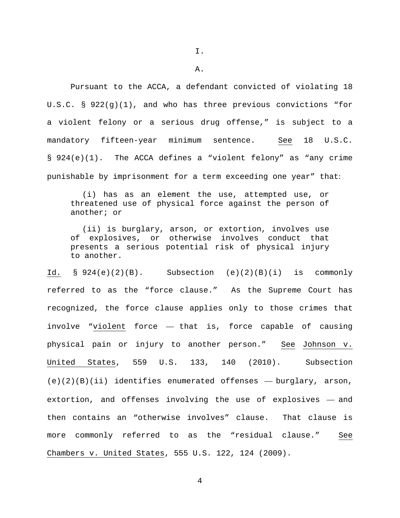A.

Pursuant to the ACCA, a defendant convicted of violating 18 U.S.C. §  $922(q)(1)$ , and who has three previous convictions "for a violent felony or a serious drug offense," is subject to a mandatory fifteen-year minimum sentence. See 18 U.S.C. § 924(e)(1). The ACCA defines a "violent felony" as "any crime punishable by imprisonment for a term exceeding one year" that:

(i) has as an element the use, attempted use, or threatened use of physical force against the person of another; or

(ii) is burglary, arson, or extortion, involves use of explosives, or otherwise involves conduct that presents a serious potential risk of physical injury to another.

Id.  $\S$  924(e)(2)(B). Subsection (e)(2)(B)(i) is commonly referred to as the "force clause." As the Supreme Court has recognized, the force clause applies only to those crimes that involve "violent force — that is, force capable of causing physical pain or injury to another person." See Johnson v. United States, 559 U.S. 133, 140 (2010). Subsection  $(e)(2)(B)(ii)$  identifies enumerated offenses - burglary, arson, extortion, and offenses involving the use of explosives — and then contains an "otherwise involves" clause. That clause is more commonly referred to as the "residual clause." See Chambers v. United States, 555 U.S. 122, 124 (2009).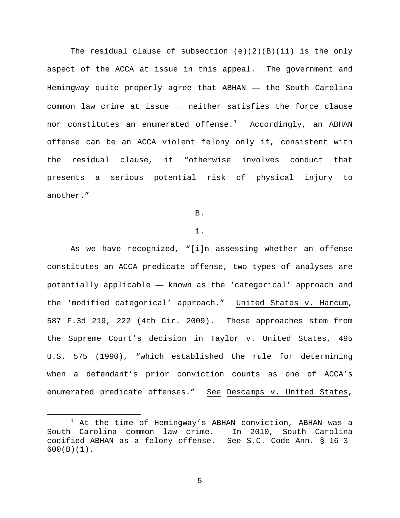The residual clause of subsection  $(e)(2)(B)(ii)$  is the only aspect of the ACCA at issue in this appeal. The government and Hemingway quite properly agree that ABHAN — the South Carolina common law crime at issue — neither satisfies the force clause nor constitutes an enumerated offense. $^1$  $^1$  - Accordingly, an ABHAN offense can be an ACCA violent felony only if, consistent with the residual clause, it "otherwise involves conduct that presents a serious potential risk of physical injury to another."

<span id="page-4-1"></span>B.

### 1.

As we have recognized, "[i]n assessing whether an offense constitutes an ACCA predicate offense, two types of analyses are potentially applicable — known as the 'categorical' approach and the 'modified categorical' approach." United States v. Harcum, 587 F.3d 219, 222 (4th Cir. 2009). These approaches stem from the Supreme Court's decision in Taylor v. United States, 495 U.S. 575 (1990), "which established the rule for determining when a defendant's prior conviction counts as one of ACCA's enumerated predicate offenses." See Descamps v. United States,

<span id="page-4-0"></span> $1$  At the time of Hemingway's ABHAN conviction, ABHAN was a South Carolina common law crime. In 2010, South Carolina codified ABHAN as a felony offense. See S.C. Code Ann. § 16-3- 600(B)(1).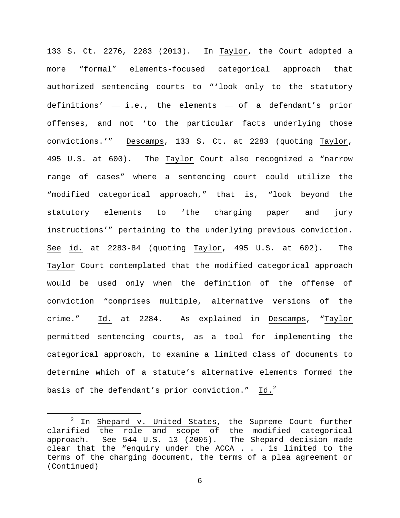133 S. Ct. 2276, 2283 (2013). In Taylor, the Court adopted a more "formal" elements-focused categorical approach that authorized sentencing courts to "'look only to the statutory definitions'  $-$  i.e., the elements  $-$  of a defendant's prior offenses, and not 'to the particular facts underlying those convictions.'" Descamps, 133 S. Ct. at 2283 (quoting Taylor, 495 U.S. at 600). The Taylor Court also recognized a "narrow range of cases" where a sentencing court could utilize the "modified categorical approach," that is, "look beyond the statutory elements to 'the charging paper and jury instructions'" pertaining to the underlying previous conviction. See id. at 2283-84 (quoting Taylor, 495 U.S. at 602). The Taylor Court contemplated that the modified categorical approach would be used only when the definition of the offense of conviction "comprises multiple, alternative versions of the crime." Id. at 2284. As explained in Descamps, "Taylor permitted sentencing courts, as a tool for implementing the categorical approach, to examine a limited class of documents to determine which of a statute's alternative elements formed the basis of the defendant's prior conviction."  $\underline{\text{Id.}}^2$  $\underline{\text{Id.}}^2$ 

<span id="page-5-0"></span><sup>&</sup>lt;sup>2</sup> In Shepard v. United States, the Supreme Court further clarified the role and scope of the modified categorical approach. See 544 U.S. 13 (2005). The Shepard decision made clear that the "enquiry under the ACCA . . . is limited to the terms of the charging document, the terms of a plea agreement or (Continued)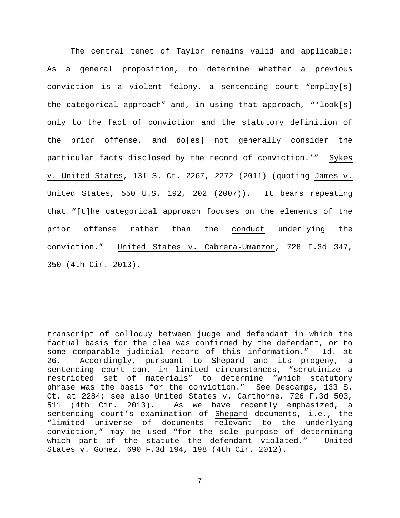The central tenet of Taylor remains valid and applicable: As a general proposition, to determine whether a previous conviction is a violent felony, a sentencing court "employ[s] the categorical approach" and, in using that approach, "'look[s] only to the fact of conviction and the statutory definition of the prior offense, and do[es] not generally consider the particular facts disclosed by the record of conviction.'" Sykes v. United States, 131 S. Ct. 2267, 2272 (2011) (quoting James v. United States, 550 U.S. 192, 202 (2007)). It bears repeating that "[t]he categorical approach focuses on the elements of the prior offense rather than the conduct underlying the conviction." United States v. Cabrera-Umanzor, 728 F.3d 347, 350 (4th Cir. 2013).

ī

transcript of colloquy between judge and defendant in which the factual basis for the plea was confirmed by the defendant, or to some comparable judicial record of this information." Id. at 26. Accordingly, pursuant to Shepard and its progeny, a sentencing court can, in limited circumstances, "scrutinize a restricted set of materials" to determine "which statutory phrase was the basis for the conviction." See Descamps, 133 S. Ct. at 2284; see also United States v. Carthorne, 726 F.3d 503, 511 (4th Cir. 2013). As we have recently emphasized, a sentencing court's examination of Shepard documents, i.e., the "limited universe of documents relevant to the underlying conviction," may be used "for the sole purpose of determining which part of the statute the defendant violated." United States v. Gomez, 690 F.3d 194, 198 (4th Cir. 2012).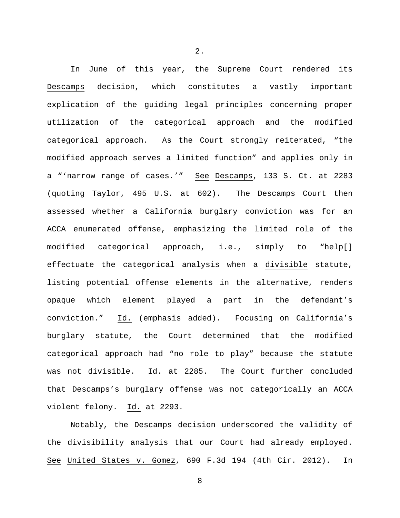In June of this year, the Supreme Court rendered its Descamps decision, which constitutes a vastly important explication of the guiding legal principles concerning proper utilization of the categorical approach and the modified categorical approach. As the Court strongly reiterated, "the modified approach serves a limited function" and applies only in a "'narrow range of cases.'" See Descamps, 133 S. Ct. at 2283 (quoting Taylor, 495 U.S. at 602). The Descamps Court then assessed whether a California burglary conviction was for an ACCA enumerated offense, emphasizing the limited role of the modified categorical approach, i.e., simply to "help[] effectuate the categorical analysis when a divisible statute, listing potential offense elements in the alternative, renders opaque which element played a part in the defendant's conviction." Id. (emphasis added). Focusing on California's burglary statute, the Court determined that the modified categorical approach had "no role to play" because the statute was not divisible. Id. at 2285. The Court further concluded that Descamps's burglary offense was not categorically an ACCA violent felony. Id. at 2293.

Notably, the Descamps decision underscored the validity of the divisibility analysis that our Court had already employed. See United States v. Gomez, 690 F.3d 194 (4th Cir. 2012). In

8

2.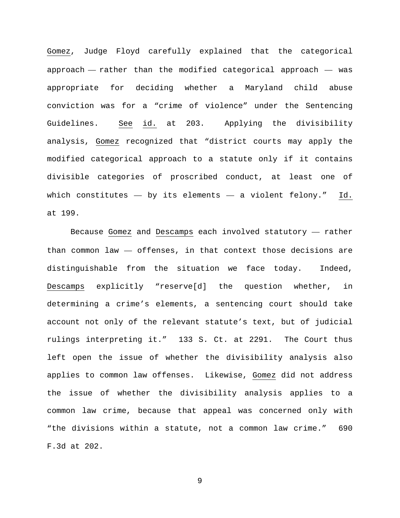Gomez, Judge Floyd carefully explained that the categorical approach — rather than the modified categorical approach — was appropriate for deciding whether a Maryland child abuse conviction was for a "crime of violence" under the Sentencing Guidelines. See id. at 203. Applying the divisibility analysis, Gomez recognized that "district courts may apply the modified categorical approach to a statute only if it contains divisible categories of proscribed conduct, at least one of which constitutes  $-$  by its elements  $-$  a violent felony." Id. at 199.

Because Gomez and Descamps each involved statutory — rather than common law — offenses, in that context those decisions are distinguishable from the situation we face today. Indeed, Descamps explicitly "reserve[d] the question whether, in determining a crime's elements, a sentencing court should take account not only of the relevant statute's text, but of judicial rulings interpreting it." 133 S. Ct. at 2291. The Court thus left open the issue of whether the divisibility analysis also applies to common law offenses. Likewise, Gomez did not address the issue of whether the divisibility analysis applies to a common law crime, because that appeal was concerned only with "the divisions within a statute, not a common law crime." 690 F.3d at 202.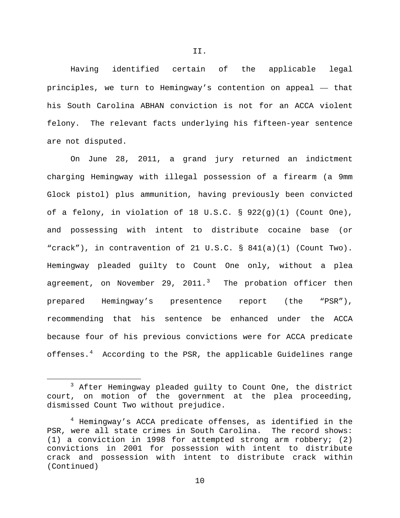Having identified certain of the applicable legal principles, we turn to Hemingway's contention on appeal — that his South Carolina ABHAN conviction is not for an ACCA violent felony. The relevant facts underlying his fifteen-year sentence are not disputed.

On June 28, 2011, a grand jury returned an indictment charging Hemingway with illegal possession of a firearm (a 9mm Glock pistol) plus ammunition, having previously been convicted of a felony, in violation of 18 U.S.C. § 922(g)(1) (Count One), and possessing with intent to distribute cocaine base (or "crack"), in contravention of 21 U.S.C. § 841(a)(1) (Count Two). Hemingway pleaded guilty to Count One only, without a plea agreement, on November 29, 2011. $^3$  $^3$  The probation officer then prepared Hemingway's presentence report (the "PSR"), recommending that his sentence be enhanced under the ACCA because four of his previous convictions were for ACCA predicate offenses.[4](#page-9-1) According to the PSR, the applicable Guidelines range

<span id="page-9-0"></span> <sup>3</sup> After Hemingway pleaded guilty to Count One, the district court, on motion of the government at the plea proceeding, dismissed Count Two without prejudice.

<span id="page-9-1"></span><sup>&</sup>lt;sup>4</sup> Hemingway's ACCA predicate offenses, as identified in the PSR, were all state crimes in South Carolina. The record shows: (1) a conviction in 1998 for attempted strong arm robbery; (2) convictions in 2001 for possession with intent to distribute crack and possession with intent to distribute crack within (Continued)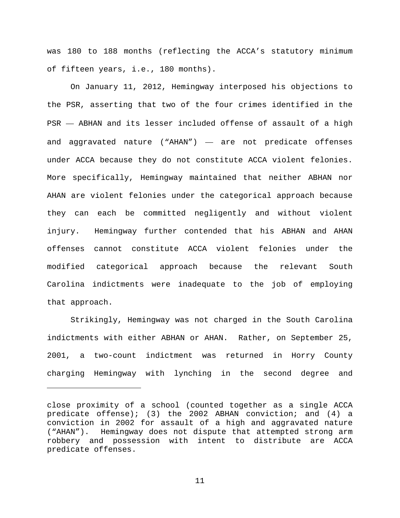was 180 to 188 months (reflecting the ACCA's statutory minimum of fifteen years, i.e., 180 months).

On January 11, 2012, Hemingway interposed his objections to the PSR, asserting that two of the four crimes identified in the PSR — ABHAN and its lesser included offense of assault of a high and aggravated nature ("AHAN") — are not predicate offenses under ACCA because they do not constitute ACCA violent felonies. More specifically, Hemingway maintained that neither ABHAN nor AHAN are violent felonies under the categorical approach because they can each be committed negligently and without violent injury. Hemingway further contended that his ABHAN and AHAN offenses cannot constitute ACCA violent felonies under the modified categorical approach because the relevant South Carolina indictments were inadequate to the job of employing that approach.

Strikingly, Hemingway was not charged in the South Carolina indictments with either ABHAN or AHAN. Rather, on September 25, 2001, a two-count indictment was returned in Horry County charging Hemingway with lynching in the second degree and

ī

close proximity of a school (counted together as a single ACCA predicate offense); (3) the 2002 ABHAN conviction; and (4) a conviction in 2002 for assault of a high and aggravated nature ("AHAN"). Hemingway does not dispute that attempted strong arm robbery and possession with intent to distribute are ACCA predicate offenses.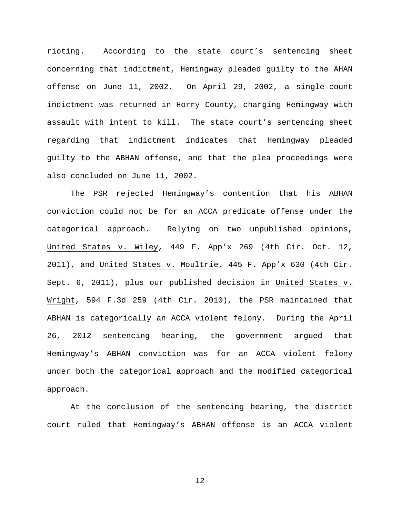rioting. According to the state court's sentencing sheet concerning that indictment, Hemingway pleaded guilty to the AHAN offense on June 11, 2002. On April 29, 2002, a single-count indictment was returned in Horry County, charging Hemingway with assault with intent to kill. The state court's sentencing sheet regarding that indictment indicates that Hemingway pleaded guilty to the ABHAN offense, and that the plea proceedings were also concluded on June 11, 2002.

The PSR rejected Hemingway's contention that his ABHAN conviction could not be for an ACCA predicate offense under the categorical approach. Relying on two unpublished opinions, United States v. Wiley, 449 F. App'x 269 (4th Cir. Oct. 12, 2011), and United States v. Moultrie, 445 F. App'x 630 (4th Cir. Sept. 6, 2011), plus our published decision in United States v. Wright, 594 F.3d 259 (4th Cir. 2010), the PSR maintained that ABHAN is categorically an ACCA violent felony. During the April 26, 2012 sentencing hearing, the government argued that Hemingway's ABHAN conviction was for an ACCA violent felony under both the categorical approach and the modified categorical approach.

At the conclusion of the sentencing hearing, the district court ruled that Hemingway's ABHAN offense is an ACCA violent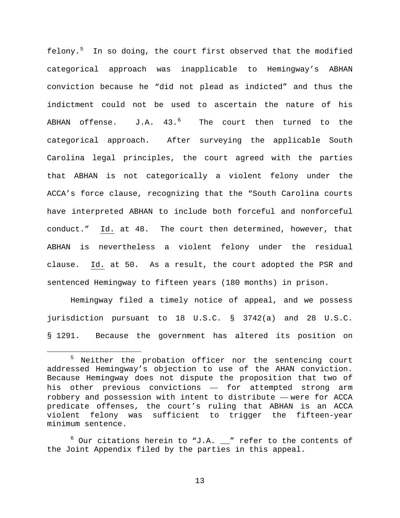felony.[5](#page-12-0) In so doing, the court first observed that the modified categorical approach was inapplicable to Hemingway's ABHAN conviction because he "did not plead as indicted" and thus the indictment could not be used to ascertain the nature of his ABHAN offense.  $J.A. 43.^6$  $J.A. 43.^6$  The court then turned to the categorical approach. After surveying the applicable South Carolina legal principles, the court agreed with the parties that ABHAN is not categorically a violent felony under the ACCA's force clause, recognizing that the "South Carolina courts have interpreted ABHAN to include both forceful and nonforceful conduct." Id. at 48. The court then determined, however, that ABHAN is nevertheless a violent felony under the residual clause. Id. at 50. As a result, the court adopted the PSR and sentenced Hemingway to fifteen years (180 months) in prison.

Hemingway filed a timely notice of appeal, and we possess jurisdiction pursuant to 18 U.S.C. § 3742(a) and 28 U.S.C. § 1291. Because the government has altered its position on

<span id="page-12-0"></span><sup>&</sup>lt;sup>5</sup> Neither the probation officer nor the sentencing court addressed Hemingway's objection to use of the AHAN conviction. Because Hemingway does not dispute the proposition that two of his other previous convictions — for attempted strong arm robbery and possession with intent to distribute — were for ACCA predicate offenses, the court's ruling that ABHAN is an ACCA violent felony was sufficient to trigger the fifteen-year minimum sentence.

<span id="page-12-1"></span> $6$  Our citations herein to "J.A.  $\mu$ " refer to the contents of the Joint Appendix filed by the parties in this appeal.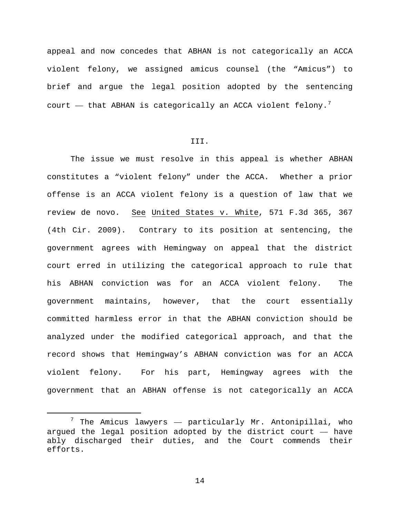appeal and now concedes that ABHAN is not categorically an ACCA violent felony, we assigned amicus counsel (the "Amicus") to brief and argue the legal position adopted by the sentencing court  $-$  that ABHAN is categorically an ACCA violent felony.<sup>[7](#page-13-0)</sup>

## III.

The issue we must resolve in this appeal is whether ABHAN constitutes a "violent felony" under the ACCA. Whether a prior offense is an ACCA violent felony is a question of law that we review de novo. See United States v. White, 571 F.3d 365, 367 (4th Cir. 2009). Contrary to its position at sentencing, the government agrees with Hemingway on appeal that the district court erred in utilizing the categorical approach to rule that his ABHAN conviction was for an ACCA violent felony. The government maintains, however, that the court essentially committed harmless error in that the ABHAN conviction should be analyzed under the modified categorical approach, and that the record shows that Hemingway's ABHAN conviction was for an ACCA violent felony. For his part, Hemingway agrees with the government that an ABHAN offense is not categorically an ACCA

<span id="page-13-0"></span> $7$  The Amicus lawyers  $-$  particularly Mr. Antonipillai, who argued the legal position adopted by the district court — have ably discharged their duties, and the Court commends their efforts.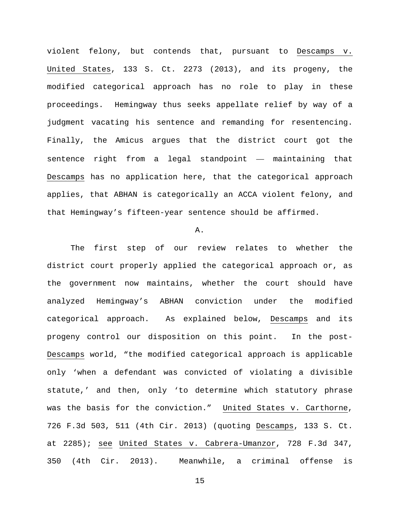violent felony, but contends that, pursuant to Descamps v. United States, 133 S. Ct. 2273 (2013), and its progeny, the modified categorical approach has no role to play in these proceedings. Hemingway thus seeks appellate relief by way of a judgment vacating his sentence and remanding for resentencing. Finally, the Amicus argues that the district court got the sentence right from a legal standpoint — maintaining that Descamps has no application here, that the categorical approach applies, that ABHAN is categorically an ACCA violent felony, and that Hemingway's fifteen-year sentence should be affirmed.

## A.

The first step of our review relates to whether the district court properly applied the categorical approach or, as the government now maintains, whether the court should have analyzed Hemingway's ABHAN conviction under the modified categorical approach. As explained below, Descamps and its progeny control our disposition on this point. In the post-Descamps world, "the modified categorical approach is applicable only 'when a defendant was convicted of violating a divisible statute,' and then, only 'to determine which statutory phrase was the basis for the conviction." United States v. Carthorne, 726 F.3d 503, 511 (4th Cir. 2013) (quoting Descamps, 133 S. Ct. at 2285); see United States v. Cabrera-Umanzor, 728 F.3d 347, 350 (4th Cir. 2013). Meanwhile, a criminal offense is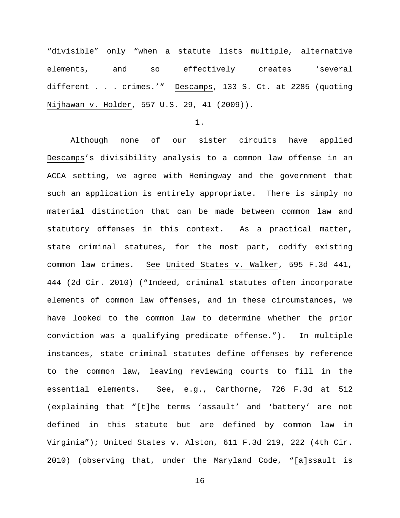"divisible" only "when a statute lists multiple, alternative elements, and so effectively creates 'several different . . . crimes.'" Descamps, 133 S. Ct. at 2285 (quoting Nijhawan v. Holder, 557 U.S. 29, 41 (2009)).

1.

Although none of our sister circuits have applied Descamps's divisibility analysis to a common law offense in an ACCA setting, we agree with Hemingway and the government that such an application is entirely appropriate. There is simply no material distinction that can be made between common law and statutory offenses in this context. As a practical matter, state criminal statutes, for the most part, codify existing common law crimes. See United States v. Walker, 595 F.3d 441, 444 (2d Cir. 2010) ("Indeed, criminal statutes often incorporate elements of common law offenses, and in these circumstances, we have looked to the common law to determine whether the prior conviction was a qualifying predicate offense."). In multiple instances, state criminal statutes define offenses by reference to the common law, leaving reviewing courts to fill in the essential elements. See, e.g., Carthorne, 726 F.3d at 512 (explaining that "[t]he terms 'assault' and 'battery' are not defined in this statute but are defined by common law in Virginia"); United States v. Alston, 611 F.3d 219, 222 (4th Cir. 2010) (observing that, under the Maryland Code, "[a]ssault is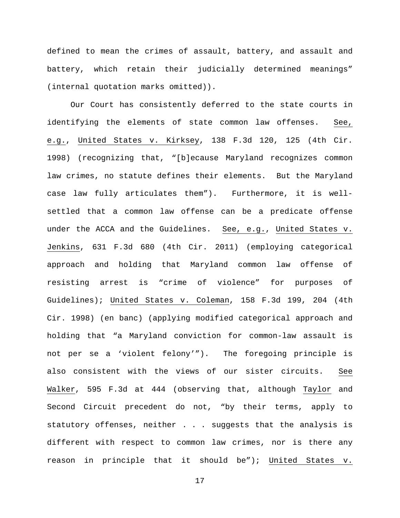defined to mean the crimes of assault, battery, and assault and battery, which retain their judicially determined meanings" (internal quotation marks omitted)).

Our Court has consistently deferred to the state courts in identifying the elements of state common law offenses. See, e.g., United States v. Kirksey, 138 F.3d 120, 125 (4th Cir. 1998) (recognizing that, "[b]ecause Maryland recognizes common law crimes, no statute defines their elements. But the Maryland case law fully articulates them"). Furthermore, it is wellsettled that a common law offense can be a predicate offense under the ACCA and the Guidelines. See, e.g., United States v. Jenkins, 631 F.3d 680 (4th Cir. 2011) (employing categorical approach and holding that Maryland common law offense of resisting arrest is "crime of violence" for purposes of Guidelines); United States v. Coleman, 158 F.3d 199, 204 (4th Cir. 1998) (en banc) (applying modified categorical approach and holding that "a Maryland conviction for common-law assault is not per se a 'violent felony'"). The foregoing principle is also consistent with the views of our sister circuits. See Walker, 595 F.3d at 444 (observing that, although Taylor and Second Circuit precedent do not, "by their terms, apply to statutory offenses, neither . . . suggests that the analysis is different with respect to common law crimes, nor is there any reason in principle that it should be"); United States v.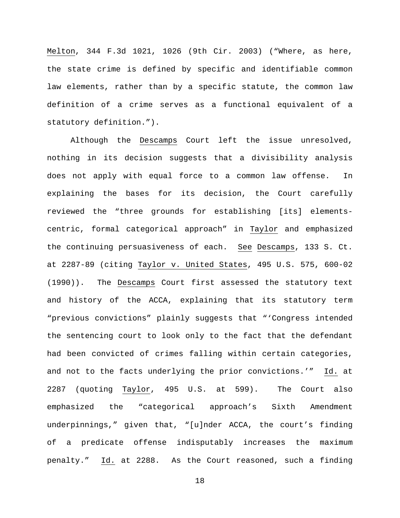Melton, 344 F.3d 1021, 1026 (9th Cir. 2003) ("Where, as here, the state crime is defined by specific and identifiable common law elements, rather than by a specific statute, the common law definition of a crime serves as a functional equivalent of a statutory definition.").

Although the Descamps Court left the issue unresolved, nothing in its decision suggests that a divisibility analysis does not apply with equal force to a common law offense. In explaining the bases for its decision, the Court carefully reviewed the "three grounds for establishing [its] elementscentric, formal categorical approach" in Taylor and emphasized the continuing persuasiveness of each. See Descamps, 133 S. Ct. at 2287-89 (citing Taylor v. United States, 495 U.S. 575, 600-02 (1990)). The Descamps Court first assessed the statutory text and history of the ACCA, explaining that its statutory term "previous convictions" plainly suggests that "'Congress intended the sentencing court to look only to the fact that the defendant had been convicted of crimes falling within certain categories, and not to the facts underlying the prior convictions.'" Id. at 2287 (quoting Taylor, 495 U.S. at 599). The Court also emphasized the "categorical approach's Sixth Amendment underpinnings," given that, "[u]nder ACCA, the court's finding of a predicate offense indisputably increases the maximum penalty." Id. at 2288. As the Court reasoned, such a finding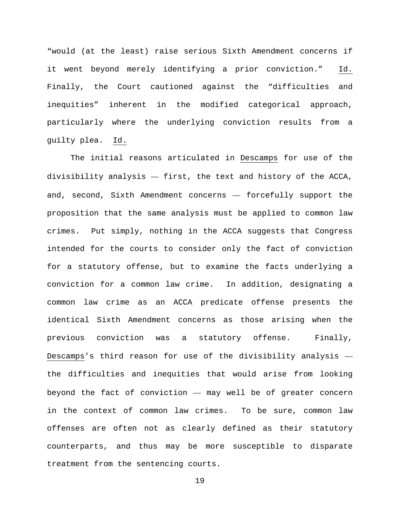"would (at the least) raise serious Sixth Amendment concerns if it went beyond merely identifying a prior conviction." Id. Finally, the Court cautioned against the "difficulties and inequities" inherent in the modified categorical approach, particularly where the underlying conviction results from a guilty plea. Id.

The initial reasons articulated in Descamps for use of the divisibility analysis — first, the text and history of the ACCA, and, second, Sixth Amendment concerns — forcefully support the proposition that the same analysis must be applied to common law crimes. Put simply, nothing in the ACCA suggests that Congress intended for the courts to consider only the fact of conviction for a statutory offense, but to examine the facts underlying a conviction for a common law crime. In addition, designating a common law crime as an ACCA predicate offense presents the identical Sixth Amendment concerns as those arising when the previous conviction was a statutory offense. Finally, Descamps's third reason for use of the divisibility analysis the difficulties and inequities that would arise from looking beyond the fact of conviction — may well be of greater concern in the context of common law crimes. To be sure, common law offenses are often not as clearly defined as their statutory counterparts, and thus may be more susceptible to disparate treatment from the sentencing courts.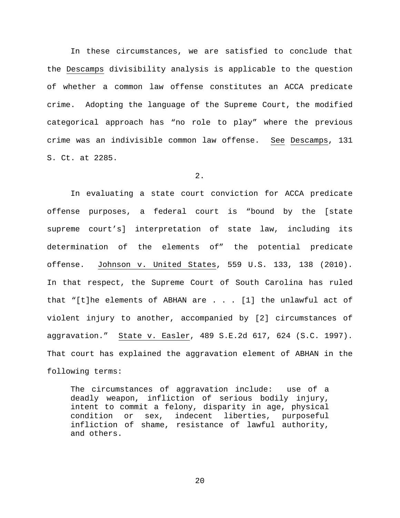In these circumstances, we are satisfied to conclude that the Descamps divisibility analysis is applicable to the question of whether a common law offense constitutes an ACCA predicate crime. Adopting the language of the Supreme Court, the modified categorical approach has "no role to play" where the previous crime was an indivisible common law offense. See Descamps, 131 S. Ct. at 2285.

2.

In evaluating a state court conviction for ACCA predicate offense purposes, a federal court is "bound by the [state supreme court's] interpretation of state law, including its determination of the elements of" the potential predicate offense. Johnson v. United States, 559 U.S. 133, 138 (2010). In that respect, the Supreme Court of South Carolina has ruled that "[t]he elements of ABHAN are  $\ldots$  . [1] the unlawful act of violent injury to another, accompanied by [2] circumstances of aggravation." State v. Easler, 489 S.E.2d 617, 624 (S.C. 1997). That court has explained the aggravation element of ABHAN in the following terms:

The circumstances of aggravation include: use of a deadly weapon, infliction of serious bodily injury, intent to commit a felony, disparity in age, physical condition or sex, indecent liberties, purposeful infliction of shame, resistance of lawful authority, and others.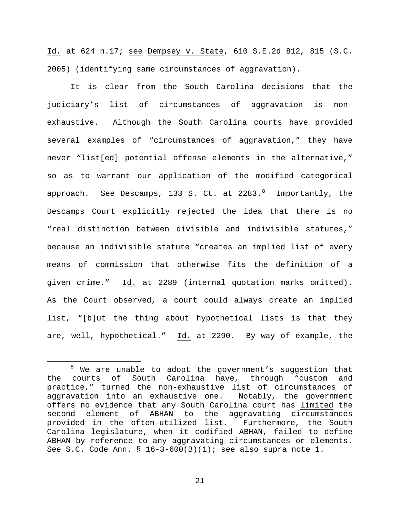Id. at 624 n.17; see Dempsey v. State, 610 S.E.2d 812, 815 (S.C. 2005) (identifying same circumstances of aggravation).

It is clear from the South Carolina decisions that the judiciary's list of circumstances of aggravation is nonexhaustive. Although the South Carolina courts have provided several examples of "circumstances of aggravation," they have never "list[ed] potential offense elements in the alternative," so as to warrant our application of the modified categorical approach. <u>See</u> Descamps, 133 S. Ct. at 22[8](#page-20-0)3.<sup>8</sup> Importantly, the Descamps Court explicitly rejected the idea that there is no "real distinction between divisible and indivisible statutes," because an indivisible statute "creates an implied list of every means of commission that otherwise fits the definition of a given crime." Id. at 2289 (internal quotation marks omitted). As the Court observed, a court could always create an implied list, "[b]ut the thing about hypothetical lists is that they are, well, hypothetical." Id. at 2290. By way of example, the

<span id="page-20-0"></span><sup>&</sup>lt;sup>8</sup> We are unable to adopt the government's suggestion that<br>the courts of South Carolina have, through "custom and South Carolina have, through "custom and practice," turned the non-exhaustive list of circumstances of aggravation into an exhaustive one. Notably, the government offers no evidence that any South Carolina court has limited the<br>second element of ABHAN to the aggravating circumstances ABHAN to the aggravating circumstances provided in the often-utilized list. Furthermore, the South Carolina legislature, when it codified ABHAN, failed to define ABHAN by reference to any aggravating circumstances or elements. See S.C. Code Ann. § 16-3-600(B)(1); see also supra note [1.](#page-4-1)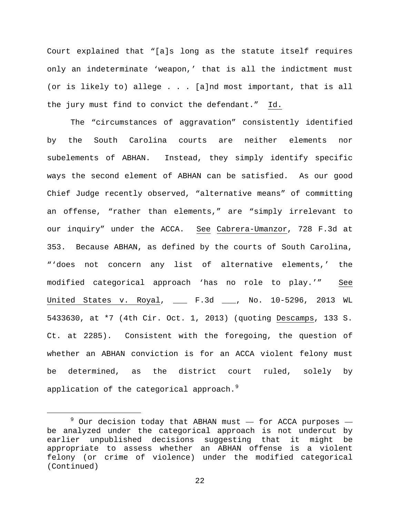Court explained that "[a]s long as the statute itself requires only an indeterminate 'weapon,' that is all the indictment must (or is likely to) allege . . . [a]nd most important, that is all the jury must find to convict the defendant." Id.

The "circumstances of aggravation" consistently identified by the South Carolina courts are neither elements nor subelements of ABHAN. Instead, they simply identify specific ways the second element of ABHAN can be satisfied. As our good Chief Judge recently observed, "alternative means" of committing an offense, "rather than elements," are "simply irrelevant to our inquiry" under the ACCA. See Cabrera-Umanzor, 728 F.3d at 353. Because ABHAN, as defined by the courts of South Carolina, "'does not concern any list of alternative elements,' the modified categorical approach 'has no role to play.'" See United States v. Royal, \_\_\_ F.3d \_\_\_, No. 10-5296, 2013 WL 5433630, at \*7 (4th Cir. Oct. 1, 2013) (quoting Descamps, 133 S. Ct. at 2285). Consistent with the foregoing, the question of whether an ABHAN conviction is for an ACCA violent felony must be determined, as the district court ruled, solely by application of the categorical approach.<sup>[9](#page-21-0)</sup>

<span id="page-21-0"></span> $9$  Our decision today that ABHAN must  $-$  for ACCA purposes  $$ be analyzed under the categorical approach is not undercut by earlier unpublished decisions suggesting that it might be appropriate to assess whether an ABHAN offense is a violent felony (or crime of violence) under the modified categorical (Continued)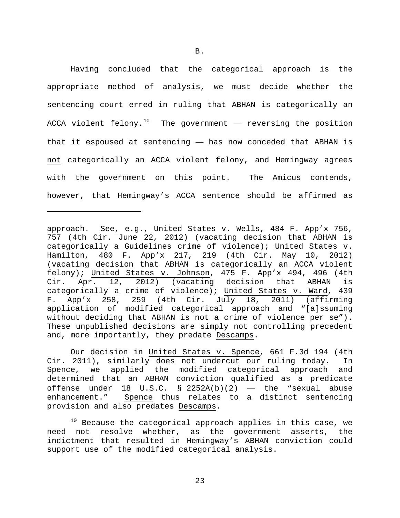Having concluded that the categorical approach is the appropriate method of analysis, we must decide whether the sentencing court erred in ruling that ABHAN is categorically an ACCA violent felony.<sup>[10](#page-22-0)</sup> The government  $-$  reversing the position that it espoused at sentencing — has now conceded that ABHAN is not categorically an ACCA violent felony, and Hemingway agrees with the government on this point. The Amicus contends, however, that Hemingway's ACCA sentence should be affirmed as

Ĩ.

Our decision in United States v. Spence, 661 F.3d 194 (4th Cir. 2011), similarly does not undercut our ruling today. In<br>Spence, we applied the modified categorical approach and we applied the modified categorical approach and determined that an ABHAN conviction qualified as a predicate offense under 18 U.S.C.  $\S$  2252A(b)(2) — the "sexual abuse enhancement." Spence thus relates to a distinct sentencing provision and also predates Descamps.

<span id="page-22-0"></span> $10$  Because the categorical approach applies in this case, we need not resolve whether, as the government asserts, the indictment that resulted in Hemingway's ABHAN conviction could support use of the modified categorical analysis.

approach. See, e.g., United States v. Wells, 484 F. App'x 756, 757 (4th Cir. June 22, 2012) (vacating decision that ABHAN is categorically a Guidelines crime of violence); United States v.<br>Hamilton, 480 F. App'x 217, 219 (4th Cir. May 10, 2012) 480 F. App'x 217, 219 (4th Cir. May 10, 2012) (vacating decision that ABHAN is categorically an ACCA violent felony); United States v. Johnson, 475 F. App'x 494, 496 (4th Cir. Apr. 12, 2012) (vacating decision that ABHAN is categorically a crime of violence); United States v. Ward, 439 F. App'x 258, 259 (4th Cir. July 18, 2011) (affirming application of modified categorical approach and "[a]ssuming without deciding that ABHAN is not a crime of violence per se"). These unpublished decisions are simply not controlling precedent and, more importantly, they predate Descamps.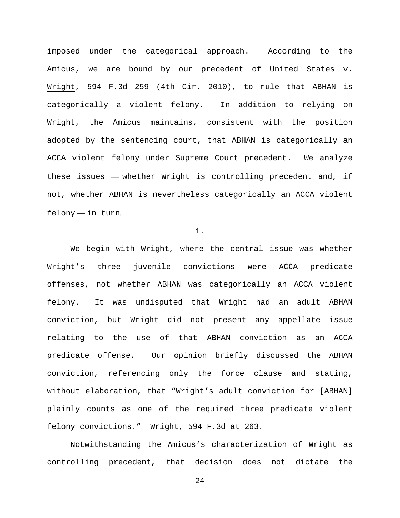imposed under the categorical approach. According to the Amicus, we are bound by our precedent of United States v. Wright, 594 F.3d 259 (4th Cir. 2010), to rule that ABHAN is categorically a violent felony. In addition to relying on Wright, the Amicus maintains, consistent with the position adopted by the sentencing court, that ABHAN is categorically an ACCA violent felony under Supreme Court precedent. We analyze these issues — whether Wright is controlling precedent and, if not, whether ABHAN is nevertheless categorically an ACCA violent felony — in turn.

# 1.

We begin with Wright, where the central issue was whether Wright's three juvenile convictions were ACCA predicate offenses, not whether ABHAN was categorically an ACCA violent felony. It was undisputed that Wright had an adult ABHAN conviction, but Wright did not present any appellate issue relating to the use of that ABHAN conviction as an ACCA predicate offense. Our opinion briefly discussed the ABHAN conviction, referencing only the force clause and stating, without elaboration, that "Wright's adult conviction for [ABHAN] plainly counts as one of the required three predicate violent felony convictions." Wright, 594 F.3d at 263.

Notwithstanding the Amicus's characterization of Wright as controlling precedent, that decision does not dictate the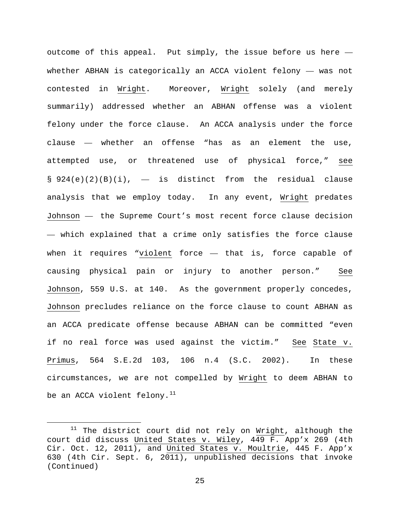outcome of this appeal. Put simply, the issue before us here  $$ whether ABHAN is categorically an ACCA violent felony — was not contested in Wright. Moreover, Wright solely (and merely summarily) addressed whether an ABHAN offense was a violent felony under the force clause. An ACCA analysis under the force clause — whether an offense "has as an element the use, attempted use, or threatened use of physical force," see  $\S$  924(e)(2)(B)(i),  $-$  is distinct from the residual clause analysis that we employ today. In any event, Wright predates Johnson — the Supreme Court's most recent force clause decision — which explained that a crime only satisfies the force clause when it requires "violent force  $-$  that is, force capable of causing physical pain or injury to another person." See Johnson, 559 U.S. at 140. As the government properly concedes, Johnson precludes reliance on the force clause to count ABHAN as an ACCA predicate offense because ABHAN can be committed "even if no real force was used against the victim." See State v. Primus, 564 S.E.2d 103, 106 n.4 (S.C. 2002). In these circumstances, we are not compelled by Wright to deem ABHAN to be an ACCA violent felony. $^{11}$  $^{11}$  $^{11}$ 

<span id="page-24-0"></span> $11$  The district court did not rely on  $Wright$ , although the court did discuss United States v. Wiley, 449 F. App'x 269 (4th Cir. Oct. 12, 2011), and United States v. Moultrie, 445 F. App'x 630 (4th Cir. Sept. 6, 2011), unpublished decisions that invoke (Continued)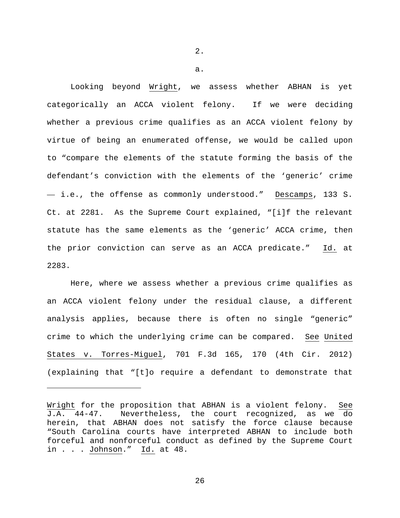2.

a.

Looking beyond Wright, we assess whether ABHAN is yet categorically an ACCA violent felony. If we were deciding whether a previous crime qualifies as an ACCA violent felony by virtue of being an enumerated offense, we would be called upon to "compare the elements of the statute forming the basis of the defendant's conviction with the elements of the 'generic' crime — i.e., the offense as commonly understood." Descamps, 133 S. Ct. at 2281. As the Supreme Court explained, "[i]f the relevant statute has the same elements as the 'generic' ACCA crime, then the prior conviction can serve as an ACCA predicate." Id. at 2283.

Here, where we assess whether a previous crime qualifies as an ACCA violent felony under the residual clause, a different analysis applies, because there is often no single "generic" crime to which the underlying crime can be compared. See United States v. Torres-Miguel, 701 F.3d 165, 170 (4th Cir. 2012) (explaining that "[t]o require a defendant to demonstrate that

ī

Wright for the proposition that ABHAN is a violent felony. See J.A. 44-47. Nevertheless, the court recognized, as we do herein, that ABHAN does not satisfy the force clause because "South Carolina courts have interpreted ABHAN to include both forceful and nonforceful conduct as defined by the Supreme Court in . . . Johnson." Id. at 48.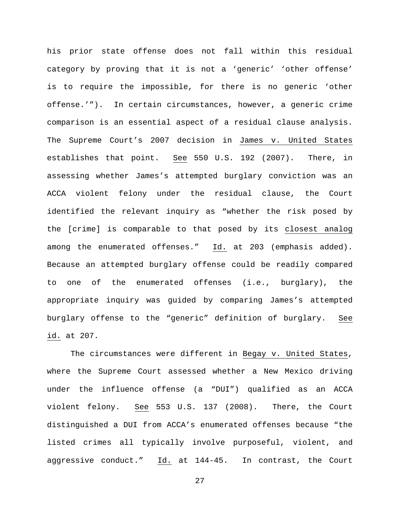his prior state offense does not fall within this residual category by proving that it is not a 'generic' 'other offense' is to require the impossible, for there is no generic 'other offense.'"). In certain circumstances, however, a generic crime comparison is an essential aspect of a residual clause analysis. The Supreme Court's 2007 decision in James v. United States establishes that point. See 550 U.S. 192 (2007). There, in assessing whether James's attempted burglary conviction was an ACCA violent felony under the residual clause, the Court identified the relevant inquiry as "whether the risk posed by the [crime] is comparable to that posed by its closest analog among the enumerated offenses." Id. at 203 (emphasis added). Because an attempted burglary offense could be readily compared to one of the enumerated offenses (i.e., burglary), the appropriate inquiry was guided by comparing James's attempted burglary offense to the "generic" definition of burglary. See id. at 207.

The circumstances were different in Begay v. United States, where the Supreme Court assessed whether a New Mexico driving under the influence offense (a "DUI") qualified as an ACCA violent felony. See 553 U.S. 137 (2008). There, the Court distinguished a DUI from ACCA's enumerated offenses because "the listed crimes all typically involve purposeful, violent, and aggressive conduct." Id. at 144-45. In contrast, the Court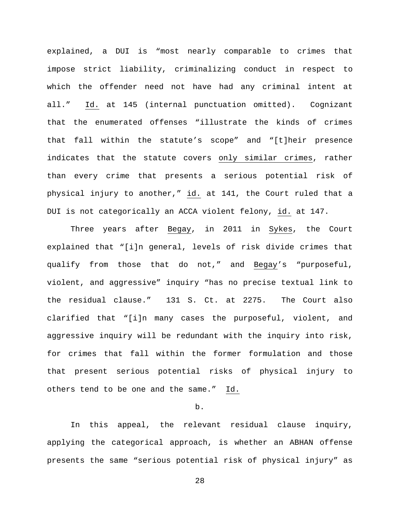explained, a DUI is "most nearly comparable to crimes that impose strict liability, criminalizing conduct in respect to which the offender need not have had any criminal intent at all." Id. at 145 (internal punctuation omitted). Cognizant that the enumerated offenses "illustrate the kinds of crimes that fall within the statute's scope" and "[t]heir presence indicates that the statute covers only similar crimes, rather than every crime that presents a serious potential risk of physical injury to another," id. at 141, the Court ruled that a DUI is not categorically an ACCA violent felony, id. at 147.

Three years after Begay, in 2011 in Sykes, the Court explained that "[i]n general, levels of risk divide crimes that qualify from those that do not," and Begay's "purposeful, violent, and aggressive" inquiry "has no precise textual link to the residual clause." 131 S. Ct. at 2275. The Court also clarified that "[i]n many cases the purposeful, violent, and aggressive inquiry will be redundant with the inquiry into risk, for crimes that fall within the former formulation and those that present serious potential risks of physical injury to others tend to be one and the same." Id.

## b.

In this appeal, the relevant residual clause inquiry, applying the categorical approach, is whether an ABHAN offense presents the same "serious potential risk of physical injury" as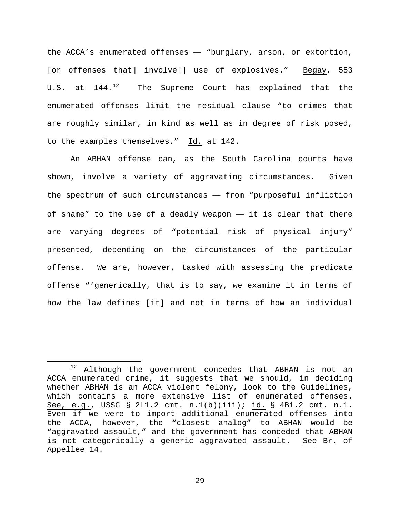the ACCA's enumerated offenses — "burglary, arson, or extortion, [or offenses that] involve[] use of explosives." Begay, 553 U.S. at  $144.^{12}$  $144.^{12}$  $144.^{12}$  The Supreme Court has explained that the enumerated offenses limit the residual clause "to crimes that are roughly similar, in kind as well as in degree of risk posed, to the examples themselves." Id. at 142.

An ABHAN offense can, as the South Carolina courts have shown, involve a variety of aggravating circumstances. Given the spectrum of such circumstances — from "purposeful infliction of shame" to the use of a deadly weapon — it is clear that there are varying degrees of "potential risk of physical injury" presented, depending on the circumstances of the particular offense. We are, however, tasked with assessing the predicate offense "'generically, that is to say, we examine it in terms of how the law defines [it] and not in terms of how an individual

<span id="page-28-0"></span> $12$  Although the government concedes that ABHAN is not an ACCA enumerated crime, it suggests that we should, in deciding whether ABHAN is an ACCA violent felony, look to the Guidelines, which contains a more extensive list of enumerated offenses. See, e.g., USSG § 2L1.2 cmt. n.1(b)(iii); id. § 4B1.2 cmt. n.1. Even if we were to import additional enumerated offenses into the ACCA, however, the "closest analog" to ABHAN would be "aggravated assault," and the government has conceded that ABHAN is not categorically a generic aggravated assault. See Br. of Appellee 14.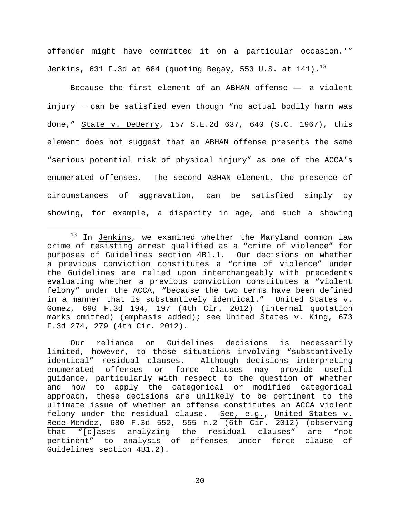offender might have committed it on a particular occasion.'" Jenkins, 631 F.3d at 684 (quoting Begay, 553 U.S. at  $141$ ).<sup>13</sup>

Because the first element of an ABHAN offense — a violent injury — can be satisfied even though "no actual bodily harm was done," State v. DeBerry, 157 S.E.2d 637, 640 (S.C. 1967), this element does not suggest that an ABHAN offense presents the same "serious potential risk of physical injury" as one of the ACCA's enumerated offenses. The second ABHAN element, the presence of circumstances of aggravation, can be satisfied simply by showing, for example, a disparity in age, and such a showing

Our reliance on Guidelines decisions is necessarily limited, however, to those situations involving "substantively identical" residual clauses. Although decisions interpreting enumerated offenses or force clauses may provide useful guidance, particularly with respect to the question of whether and how to apply the categorical or modified categorical approach, these decisions are unlikely to be pertinent to the ultimate issue of whether an offense constitutes an ACCA violent felony under the residual clause. See, e.g., United States v. Rede-Mendez, 680 F.3d 552, 555 n.2 (6th Cir. 2012) (observing<br>that "[c]ases analyzing the residual clauses" are "not that "[c]ases analyzing the residual clauses" pertinent" to analysis of offenses under force clause of Guidelines section 4B1.2).

<span id="page-29-0"></span><sup>&</sup>lt;sup>13</sup> In Jenkins, we examined whether the Maryland common law crime of resisting arrest qualified as a "crime of violence" for purposes of Guidelines section 4B1.1. Our decisions on whether a previous conviction constitutes a "crime of violence" under the Guidelines are relied upon interchangeably with precedents evaluating whether a previous conviction constitutes a "violent felony" under the ACCA, "because the two terms have been defined in a manner that is substantively identical." United States v. Gomez, 690 F.3d 194, 197 (4th Cir. 2012) (internal quotation marks omitted) (emphasis added); see United States v. King, 673 F.3d 274, 279 (4th Cir. 2012).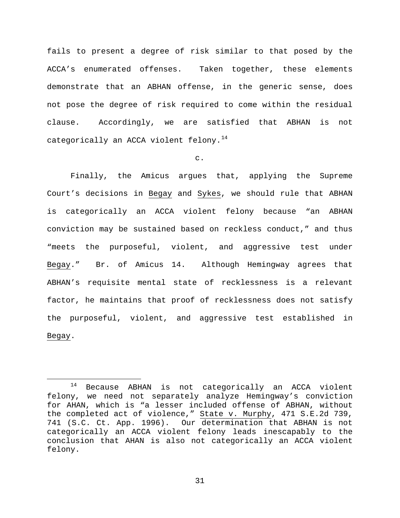fails to present a degree of risk similar to that posed by the ACCA's enumerated offenses. Taken together, these elements demonstrate that an ABHAN offense, in the generic sense, does not pose the degree of risk required to come within the residual clause. Accordingly, we are satisfied that ABHAN is not categorically an ACCA violent felony.<sup>[14](#page-30-0)</sup>

### c.

Finally, the Amicus argues that, applying the Supreme Court's decisions in Begay and Sykes, we should rule that ABHAN is categorically an ACCA violent felony because "an ABHAN conviction may be sustained based on reckless conduct," and thus "meets the purposeful, violent, and aggressive test under Begay." Br. of Amicus 14. Although Hemingway agrees that ABHAN's requisite mental state of recklessness is a relevant factor, he maintains that proof of recklessness does not satisfy the purposeful, violent, and aggressive test established in Begay.

<span id="page-30-0"></span> <sup>14</sup> Because ABHAN is not categorically an ACCA violent felony, we need not separately analyze Hemingway's conviction for AHAN, which is "a lesser included offense of ABHAN, without the completed act of violence," State v. Murphy, 471 S.E.2d 739, 741 (S.C. Ct. App. 1996). Our determination that ABHAN is not categorically an ACCA violent felony leads inescapably to the conclusion that AHAN is also not categorically an ACCA violent felony.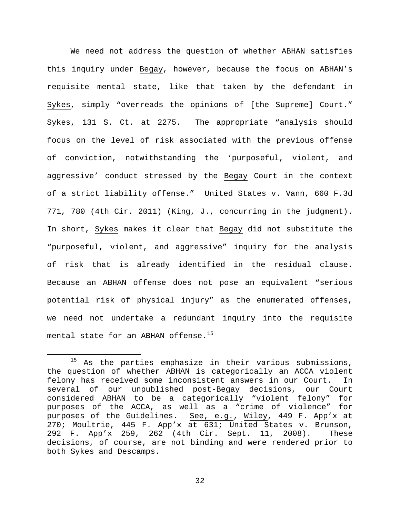We need not address the question of whether ABHAN satisfies this inquiry under Begay, however, because the focus on ABHAN's requisite mental state, like that taken by the defendant in Sykes, simply "overreads the opinions of [the Supreme] Court." Sykes, 131 S. Ct. at 2275. The appropriate "analysis should focus on the level of risk associated with the previous offense of conviction, notwithstanding the 'purposeful, violent, and aggressive' conduct stressed by the Begay Court in the context of a strict liability offense." United States v. Vann, 660 F.3d 771, 780 (4th Cir. 2011) (King, J., concurring in the judgment). In short, Sykes makes it clear that Begay did not substitute the "purposeful, violent, and aggressive" inquiry for the analysis of risk that is already identified in the residual clause. Because an ABHAN offense does not pose an equivalent "serious potential risk of physical injury" as the enumerated offenses, we need not undertake a redundant inquiry into the requisite mental state for an ABHAN offense.<sup>15</sup>

<span id="page-31-0"></span><sup>&</sup>lt;sup>15</sup> As the parties emphasize in their various submissions, the question of whether ABHAN is categorically an ACCA violent felony has received some inconsistent answers in our Court. In several of our unpublished post-Begay decisions, our Court considered ABHAN to be a categorically "violent felony" for purposes of the ACCA, as well as a "crime of violence" for purposes of the Guidelines. See, e.g., Wiley, 449 F. App'x at 270; Moultrie, 445 F. App'x at 631; United States v. Brunson, 292 F. App'x 259, 262 (4th Cir. Sept. 11, 2008). These decisions, of course, are not binding and were rendered prior to both Sykes and Descamps.